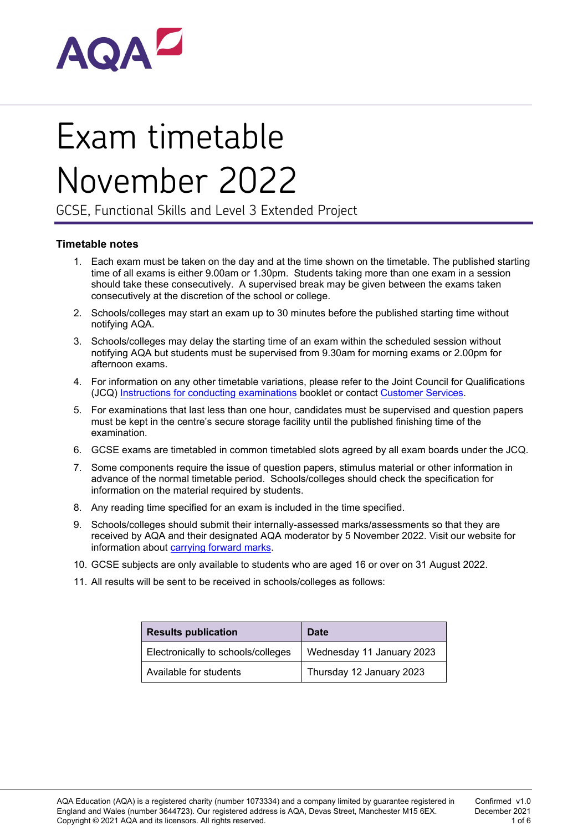

# Exam timetable November 2022

GCSE, Functional Skills and Level 3 Extended Project

#### **Timetable notes**

- 1. Each exam must be taken on the day and at the time shown on the timetable. The published starting time of all exams is either 9.00am or 1.30pm. Students taking more than one exam in a session should take these consecutively. A supervised break may be given between the exams taken consecutively at the discretion of the school or college.
- 2. Schools/colleges may start an exam up to 30 minutes before the published starting time without notifying AQA.
- 3. Schools/colleges may delay the starting time of an exam within the scheduled session without notifying AQA but students must be supervised from 9.30am for morning exams or 2.00pm for afternoon exams.
- 4. For information on any other timetable variations, please refer to the Joint Council for Qualifications (JCQ) Instructions for [conducting examinations](http://www.jcq.org.uk/exams-office/ice---instructions-for-conducting-examinations) booklet or contact [Customer](mailto:eos@aqa.org.uk) Services.
- 5. For examinations that last less than one hour, candidates must be supervised and question papers must be kept in the centre's secure storage facility until the published finishing time of the examination.
- 6. GCSE exams are timetabled in common timetabled slots agreed by all exam boards under the JCQ.
- 7. Some components require the issue of question papers, stimulus material or other information in advance of the normal timetable period. Schools/colleges should check the specification for information on the material required by students.
- 8. Any reading time specified for an exam is included in the time specified.
- 9. Schools/colleges should submit their internally-assessed marks/assessments so that they are received by AQA and their designated AQA moderator by 5 November 2022. Visit our website for information about [carrying](http://www.aqa.org.uk/exams-administration/coursework-and-controlled-assessment/carry-forward-of-marks) forward marks.
- 10. GCSE subjects are only available to students who are aged 16 or over on 31 August 2022.
- 11. All results will be sent to be received in schools/colleges as follows:

| <b>Results publication</b>         | Date                      |  |  |
|------------------------------------|---------------------------|--|--|
| Electronically to schools/colleges | Wednesday 11 January 2023 |  |  |
| Available for students             | Thursday 12 January 2023  |  |  |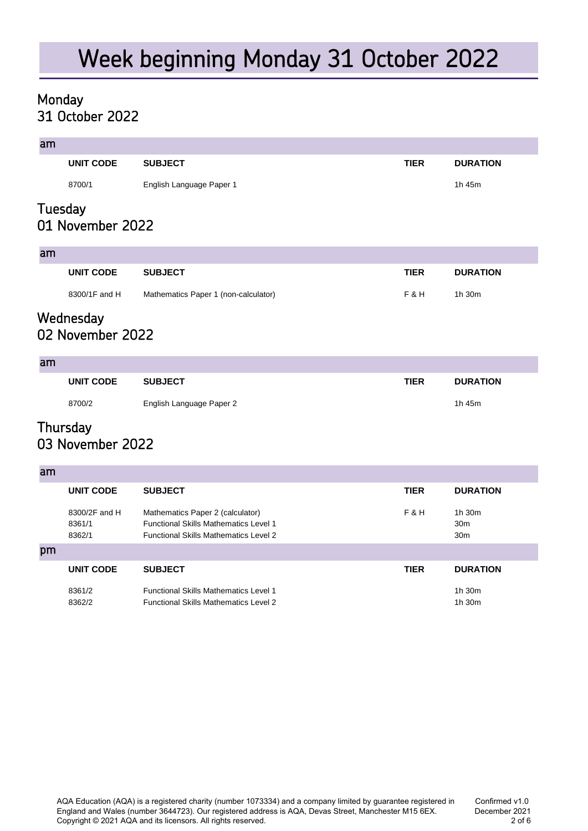# Week beginning Monday 31 October 2022

#### 31 October 2022 Monday

am

| dill    |                  |                          |             |                 |
|---------|------------------|--------------------------|-------------|-----------------|
|         | <b>UNIT CODE</b> | <b>SUBJECT</b>           | <b>TIER</b> | <b>DURATION</b> |
|         | 8700/1           | English Language Paper 1 |             | 1h 45m          |
| Tuesday | 01 November 2022 |                          |             |                 |

#### am

| . |               |                                      |             |                 |
|---|---------------|--------------------------------------|-------------|-----------------|
|   | UNIT CODE     | <b>SUBJECT</b>                       | <b>TIER</b> | <b>DURATION</b> |
|   | 8300/1F and H | Mathematics Paper 1 (non-calculator) | F & H       | 1h 30m          |

### 02 November 2022 Wednesday

#### am

| <b>STATISTICS</b> |           |                          |             |                 |
|-------------------|-----------|--------------------------|-------------|-----------------|
|                   | UNIT CODE | <b>SUBJECT</b>           | <b>TIER</b> | <b>DURATION</b> |
|                   | 8700/2    | English Language Paper 2 |             | 1h 45m          |

### 03 November 2022 **Thursday**

| am |                                   |                                                                                                                                  |             |                                              |
|----|-----------------------------------|----------------------------------------------------------------------------------------------------------------------------------|-------------|----------------------------------------------|
|    | UNIT CODE                         | <b>SUBJECT</b>                                                                                                                   | <b>TIER</b> | <b>DURATION</b>                              |
|    | 8300/2F and H<br>8361/1<br>8362/1 | Mathematics Paper 2 (calculator)<br><b>Functional Skills Mathematics Level 1</b><br><b>Functional Skills Mathematics Level 2</b> | F&H         | 1h.30m<br>30 <sub>m</sub><br>30 <sub>m</sub> |
| pm |                                   |                                                                                                                                  |             |                                              |
|    | UNIT CODE                         | <b>SUBJECT</b>                                                                                                                   | <b>TIER</b> | <b>DURATION</b>                              |
|    | 8361/2<br>8362/2                  | <b>Functional Skills Mathematics Level 1</b><br><b>Functional Skills Mathematics Level 2</b>                                     |             | 1h.30m<br>1h 30m                             |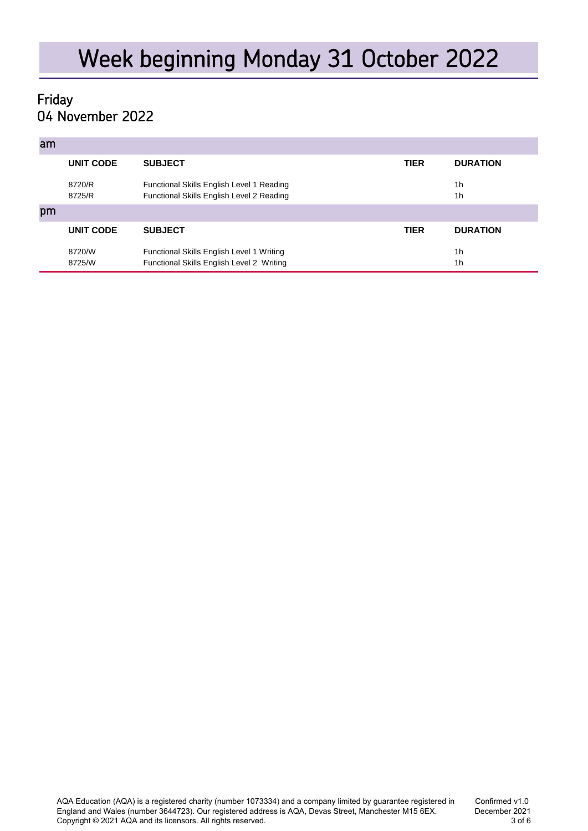### 04 November 2022 Friday

| am |                  |                                                                                        |             |                                  |
|----|------------------|----------------------------------------------------------------------------------------|-------------|----------------------------------|
|    | <b>UNIT CODE</b> | <b>SUBJECT</b>                                                                         | <b>TIER</b> | <b>DURATION</b>                  |
|    | 8720/R<br>8725/R | Functional Skills English Level 1 Reading<br>Functional Skills English Level 2 Reading |             | 1 <sub>h</sub><br>1h             |
| pm |                  |                                                                                        |             |                                  |
|    | <b>UNIT CODE</b> | <b>SUBJECT</b>                                                                         | <b>TIER</b> | <b>DURATION</b>                  |
|    | 8720/W<br>8725/W | Functional Skills English Level 1 Writing<br>Functional Skills English Level 2 Writing |             | 1 <sub>h</sub><br>1 <sub>h</sub> |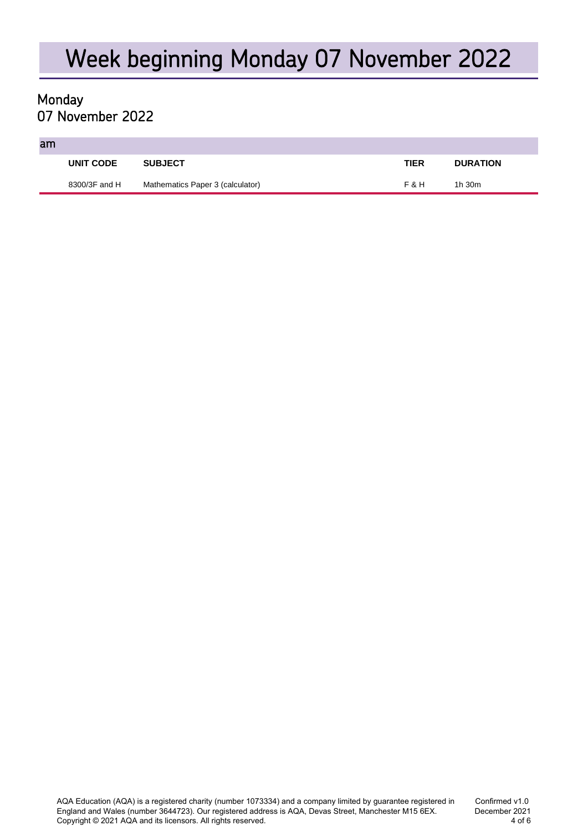# Week beginning Monday 07 November 2022

### 07 November 2022 Monday

#### am

| UNIT CODE     | <b>SUBJECT</b>                   | <b>TIER</b> | <b>DURATION</b> |
|---------------|----------------------------------|-------------|-----------------|
| 8300/3F and H | Mathematics Paper 3 (calculator) | F&H         | 1h 30m          |
|               |                                  |             |                 |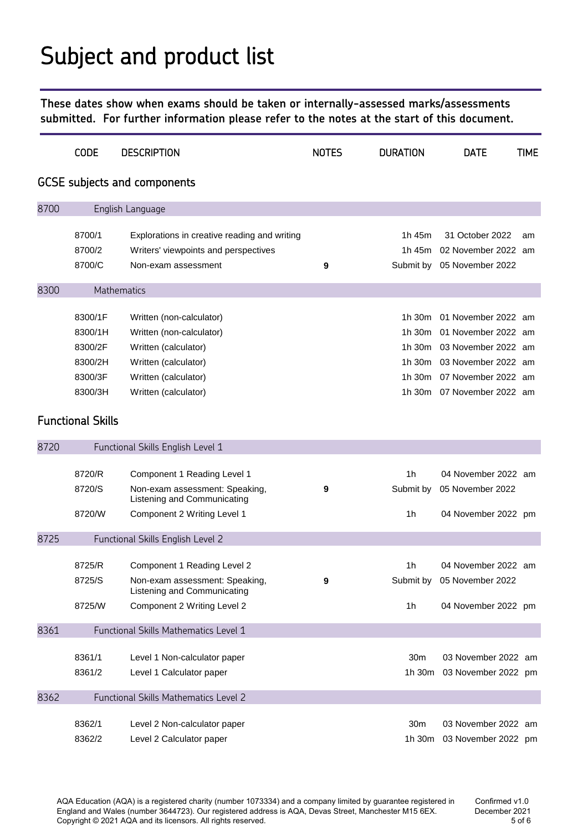# Subject and product list

**These dates show when exams should be taken or internally-assessed marks/assessments submitted. For further information please refer to the notes at the start of this document.**

|      | <b>CODE</b>              | <b>DESCRIPTION</b>                                            | <b>NOTES</b> | <b>DURATION</b> | <b>DATE</b>                | <b>TIME</b> |
|------|--------------------------|---------------------------------------------------------------|--------------|-----------------|----------------------------|-------------|
|      |                          | <b>GCSE</b> subjects and components                           |              |                 |                            |             |
| 8700 |                          | English Language                                              |              |                 |                            |             |
|      | 8700/1                   |                                                               |              | 1h 45m          | 31 October 2022            |             |
|      | 8700/2                   | Explorations in creative reading and writing                  |              | 1h 45m          | 02 November 2022 am        | am          |
|      | 8700/C                   | Writers' viewpoints and perspectives<br>Non-exam assessment   | 9            | Submit by       | 05 November 2022           |             |
|      |                          |                                                               |              |                 |                            |             |
| 8300 |                          | Mathematics                                                   |              |                 |                            |             |
|      | 8300/1F                  | Written (non-calculator)                                      |              | 1h 30m          | 01 November 2022 am        |             |
|      | 8300/1H                  | Written (non-calculator)                                      |              | 1h 30m          | 01 November 2022 am        |             |
|      | 8300/2F                  | Written (calculator)                                          |              | 1h 30m          | 03 November 2022 am        |             |
|      | 8300/2H                  | Written (calculator)                                          |              | 1h 30m          | 03 November 2022 am        |             |
|      | 8300/3F                  | Written (calculator)                                          |              | 1h 30m          | 07 November 2022 am        |             |
|      | 8300/3H                  | Written (calculator)                                          |              | 1h 30m          | 07 November 2022 am        |             |
|      |                          |                                                               |              |                 |                            |             |
|      | <b>Functional Skills</b> |                                                               |              |                 |                            |             |
| 8720 |                          | Functional Skills English Level 1                             |              |                 |                            |             |
|      |                          |                                                               |              |                 |                            |             |
|      | 8720/R                   | Component 1 Reading Level 1                                   |              | 1 <sub>h</sub>  | 04 November 2022 am        |             |
|      | 8720/S                   | Non-exam assessment: Speaking,<br>Listening and Communicating | 9            | Submit by       | 05 November 2022           |             |
|      | 8720/W                   | Component 2 Writing Level 1                                   |              | 1h              | 04 November 2022 pm        |             |
| 8725 |                          | Functional Skills English Level 2                             |              |                 |                            |             |
|      |                          |                                                               |              |                 |                            |             |
|      | 8725/R                   | Component 1 Reading Level 2                                   |              | 1h              | 04 November 2022 am        |             |
|      | 8725/S                   | Non-exam assessment: Speaking,<br>Listening and Communicating | 9            |                 | Submit by 05 November 2022 |             |
|      | 8725/W                   | Component 2 Writing Level 2                                   |              | 1 <sub>h</sub>  | 04 November 2022 pm        |             |
| 8361 |                          | Functional Skills Mathematics Level 1                         |              |                 |                            |             |
|      |                          |                                                               |              |                 |                            |             |
|      | 8361/1                   | Level 1 Non-calculator paper                                  |              | 30 <sub>m</sub> | 03 November 2022 am        |             |
|      | 8361/2                   | Level 1 Calculator paper                                      |              | 1h 30m          | 03 November 2022 pm        |             |
| 8362 |                          | Functional Skills Mathematics Level 2                         |              |                 |                            |             |
|      | 8362/1                   | Level 2 Non-calculator paper                                  |              | 30 <sub>m</sub> | 03 November 2022 am        |             |
|      | 8362/2                   | Level 2 Calculator paper                                      |              | 1h 30m          | 03 November 2022 pm        |             |
|      |                          |                                                               |              |                 |                            |             |